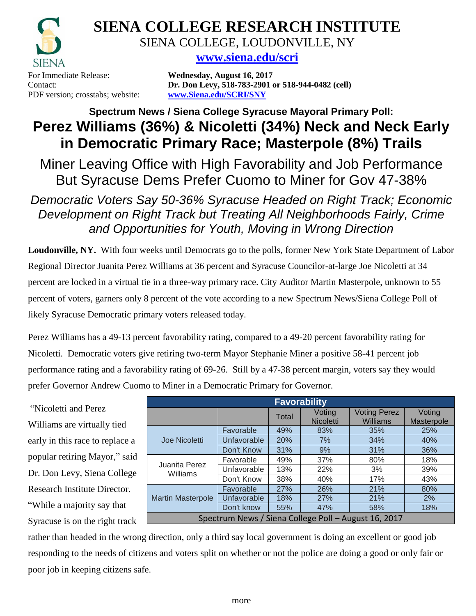

**SIENA COLLEGE RESEARCH INSTITUTE** SIENA COLLEGE, LOUDONVILLE, NY

**[www.siena.edu/scri](http://www.siena.edu/scri)**

For Immediate Release: **Wednesday, August 16, 2017** PDF version; crosstabs; website: **www.Siena.edu/SCRI/SNY**

Contact: **Dr. Don Levy, 518-783-2901 or 518-944-0482 (cell)**

## **Spectrum News / Siena College Syracuse Mayoral Primary Poll: Perez Williams (36%) & Nicoletti (34%) Neck and Neck Early in Democratic Primary Race; Masterpole (8%) Trails**

Miner Leaving Office with High Favorability and Job Performance But Syracuse Dems Prefer Cuomo to Miner for Gov 47-38%

*Democratic Voters Say 50-36% Syracuse Headed on Right Track; Economic Development on Right Track but Treating All Neighborhoods Fairly, Crime and Opportunities for Youth, Moving in Wrong Direction*

**Loudonville, NY.** With four weeks until Democrats go to the polls, former New York State Department of Labor Regional Director Juanita Perez Williams at 36 percent and Syracuse Councilor-at-large Joe Nicoletti at 34 percent are locked in a virtual tie in a three-way primary race. City Auditor Martin Masterpole, unknown to 55 percent of voters, garners only 8 percent of the vote according to a new Spectrum News/Siena College Poll of likely Syracuse Democratic primary voters released today.

Perez Williams has a 49-13 percent favorability rating, compared to a 49-20 percent favorability rating for Nicoletti. Democratic voters give retiring two-term Mayor Stephanie Miner a positive 58-41 percent job performance rating and a favorability rating of 69-26. Still by a 47-38 percent margin, voters say they would prefer Governor Andrew Cuomo to Miner in a Democratic Primary for Governor.

"Nicoletti and Perez Williams are virtually tied early in this race to replace a popular retiring Mayor," said Dr. Don Levy, Siena College Research Institute Director. "While a majority say that Syracuse is on the right track

| <b>Favorability</b>                                  |             |       |                            |                                        |                      |  |  |  |  |  |
|------------------------------------------------------|-------------|-------|----------------------------|----------------------------------------|----------------------|--|--|--|--|--|
|                                                      |             | Total | Voting<br><b>Nicoletti</b> | <b>Voting Perez</b><br><b>Williams</b> | Voting<br>Masterpole |  |  |  |  |  |
| Joe Nicoletti                                        | Favorable   | 49%   | 83%                        | 35%                                    | 25%                  |  |  |  |  |  |
|                                                      | Unfavorable | 20%   | 7%                         | 34%                                    | 40%                  |  |  |  |  |  |
|                                                      | Don't Know  | 31%   | 9%                         | 31%                                    | 36%                  |  |  |  |  |  |
| Juanita Perez<br>Williams                            | Favorable   | 49%   | 37%                        | 80%                                    | 18%                  |  |  |  |  |  |
|                                                      | Unfavorable | 13%   | 22%                        | 3%                                     | 39%                  |  |  |  |  |  |
|                                                      | Don't Know  | 38%   | 40%                        | 17%                                    | 43%                  |  |  |  |  |  |
| <b>Martin Masterpole</b>                             | Favorable   | 27%   | 26%                        | 21%                                    | 80%                  |  |  |  |  |  |
|                                                      | Unfavorable | 18%   | 27%                        | 21%                                    | 2%                   |  |  |  |  |  |
|                                                      | Don't know  | 55%   | 47%                        | 58%                                    | 18%                  |  |  |  |  |  |
| Spectrum News / Siena College Poll - August 16, 2017 |             |       |                            |                                        |                      |  |  |  |  |  |

rather than headed in the wrong direction, only a third say local government is doing an excellent or good job responding to the needs of citizens and voters split on whether or not the police are doing a good or only fair or poor job in keeping citizens safe.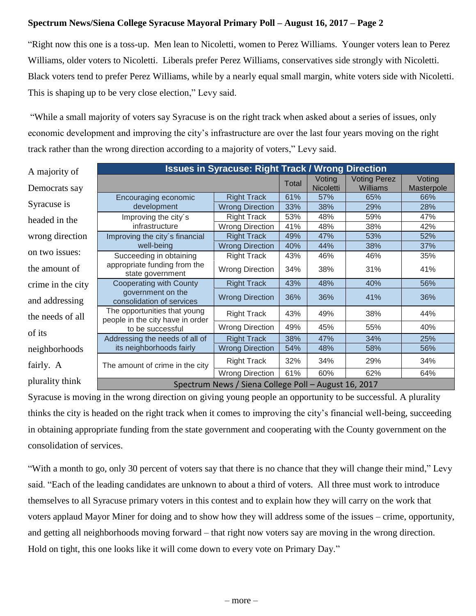## **Spectrum News/Siena College Syracuse Mayoral Primary Poll – August 16, 2017 – Page 2**

"Right now this one is a toss-up. Men lean to Nicoletti, women to Perez Williams. Younger voters lean to Perez Williams, older voters to Nicoletti. Liberals prefer Perez Williams, conservatives side strongly with Nicoletti. Black voters tend to prefer Perez Williams, while by a nearly equal small margin, white voters side with Nicoletti. This is shaping up to be very close election," Levy said.

"While a small majority of voters say Syracuse is on the right track when asked about a series of issues, only economic development and improving the city's infrastructure are over the last four years moving on the right track rather than the wrong direction according to a majority of voters," Levy said.

| A majority of     | <b>Issues in Syracuse: Right Track / Wrong Direction</b>         |                        |       |                            |                                 |                      |  |  |  |
|-------------------|------------------------------------------------------------------|------------------------|-------|----------------------------|---------------------------------|----------------------|--|--|--|
| Democrats say     |                                                                  |                        | Total | Voting<br><b>Nicoletti</b> | <b>Voting Perez</b><br>Williams | Voting<br>Masterpole |  |  |  |
|                   | Encouraging economic                                             | <b>Right Track</b>     | 61%   | 57%                        | 65%                             | 66%                  |  |  |  |
| Syracuse is       | development                                                      | <b>Wrong Direction</b> | 33%   | 38%                        | 29%                             | 28%                  |  |  |  |
| headed in the     | Improving the city's                                             | <b>Right Track</b>     | 53%   | 48%                        | 59%                             | 47%                  |  |  |  |
|                   | infrastructure                                                   | <b>Wrong Direction</b> | 41%   | 48%                        | 38%                             | 42%                  |  |  |  |
| wrong direction   | Improving the city's financial                                   | <b>Right Track</b>     | 49%   | 47%                        | 53%                             | 52%                  |  |  |  |
|                   | well-being                                                       | <b>Wrong Direction</b> | 40%   | 44%                        | 38%                             | 37%                  |  |  |  |
| on two issues:    | Succeeding in obtaining                                          | <b>Right Track</b>     | 43%   | 46%                        | 46%                             | 35%                  |  |  |  |
| the amount of     | appropriate funding from the<br>state government                 | <b>Wrong Direction</b> | 34%   | 38%                        | 31%                             | 41%                  |  |  |  |
| crime in the city | <b>Cooperating with County</b>                                   | <b>Right Track</b>     | 43%   | 48%                        | 40%                             | 56%                  |  |  |  |
| and addressing    | government on the<br>consolidation of services                   | <b>Wrong Direction</b> | 36%   | 36%                        | 41%                             | 36%                  |  |  |  |
| the needs of all  | The opportunities that young<br>people in the city have in order | <b>Right Track</b>     | 43%   | 49%                        | 38%                             | 44%                  |  |  |  |
| of its            | to be successful                                                 | <b>Wrong Direction</b> | 49%   | 45%                        | 55%                             | 40%                  |  |  |  |
|                   | Addressing the needs of all of                                   | <b>Right Track</b>     | 38%   | 47%                        | 34%                             | 25%                  |  |  |  |
| neighborhoods     | its neighborhoods fairly                                         | <b>Wrong Direction</b> | 54%   | 48%                        | 58%                             | 56%                  |  |  |  |
| fairly. A         | The amount of crime in the city                                  | <b>Right Track</b>     | 32%   | 34%                        | 29%                             | 34%                  |  |  |  |
|                   |                                                                  | <b>Wrong Direction</b> | 61%   | 60%                        | 62%                             | 64%                  |  |  |  |
| plurality think   | Spectrum News / Siena College Poll - August 16, 2017             |                        |       |                            |                                 |                      |  |  |  |

Syracuse is moving in the wrong direction on giving young people an opportunity to be successful. A plurality thinks the city is headed on the right track when it comes to improving the city's financial well-being, succeeding in obtaining appropriate funding from the state government and cooperating with the County government on the consolidation of services.

"With a month to go, only 30 percent of voters say that there is no chance that they will change their mind," Levy said. "Each of the leading candidates are unknown to about a third of voters. All three must work to introduce themselves to all Syracuse primary voters in this contest and to explain how they will carry on the work that voters applaud Mayor Miner for doing and to show how they will address some of the issues – crime, opportunity, and getting all neighborhoods moving forward – that right now voters say are moving in the wrong direction. Hold on tight, this one looks like it will come down to every vote on Primary Day."